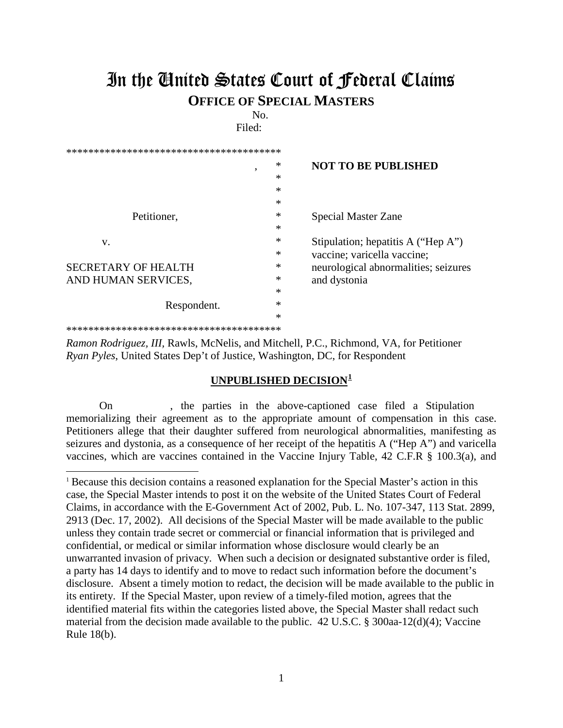## In the United States Court of Federal Claims **OFFICE OF SPECIAL MASTERS**

No.

Filed:

| ۰                          | ∗      | <b>NOT TO BE PUBLISHED</b>           |
|----------------------------|--------|--------------------------------------|
|                            | $\ast$ |                                      |
|                            | $\ast$ |                                      |
|                            | $\ast$ |                                      |
| Petitioner,                | $\ast$ | <b>Special Master Zane</b>           |
|                            | $\ast$ |                                      |
| V.                         | $\ast$ | Stipulation; hepatitis A ("Hep A")   |
|                            | $\ast$ | vaccine; varicella vaccine;          |
| <b>SECRETARY OF HEALTH</b> | $\ast$ | neurological abnormalities; seizures |
| AND HUMAN SERVICES,        | ∗      | and dystonia                         |
|                            | $\ast$ |                                      |
| Respondent.                | ∗      |                                      |
|                            | *      |                                      |
| *************************  |        |                                      |

*Ramon Rodriguez, III,* Rawls, McNelis, and Mitchell, P.C., Richmond, VA, for Petitioner *Ryan Pyles*, United States Dep't of Justice, Washington, DC, for Respondent

 $\overline{a}$ 

## **UNPUBLISHED DECISION[1](#page-0-0)**

On , the parties in the above-captioned case filed a Stipulation memorializing their agreement as to the appropriate amount of compensation in this case. Petitioners allege that their daughter suffered from neurological abnormalities, manifesting as seizures and dystonia, as a consequence of her receipt of the hepatitis A ("Hep A") and varicella vaccines, which are vaccines contained in the Vaccine Injury Table, 42 C.F.R § 100.3(a), and

<span id="page-0-0"></span><sup>1</sup> Because this decision contains a reasoned explanation for the Special Master's action in this case, the Special Master intends to post it on the website of the United States Court of Federal Claims, in accordance with the E-Government Act of 2002, Pub. L. No. 107-347, 113 Stat. 2899, 2913 (Dec. 17, 2002). All decisions of the Special Master will be made available to the public unless they contain trade secret or commercial or financial information that is privileged and confidential, or medical or similar information whose disclosure would clearly be an unwarranted invasion of privacy. When such a decision or designated substantive order is filed, a party has 14 days to identify and to move to redact such information before the document's disclosure. Absent a timely motion to redact, the decision will be made available to the public in its entirety. If the Special Master, upon review of a timely-filed motion, agrees that the identified material fits within the categories listed above, the Special Master shall redact such material from the decision made available to the public. 42 U.S.C. § 300aa-12(d)(4); Vaccine Rule 18(b).